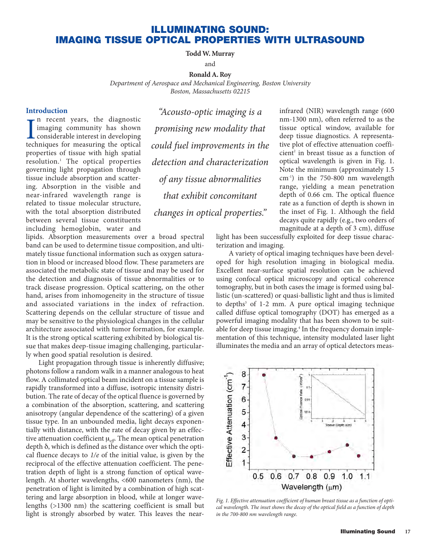## **ILLUMINATING SOUND: IMAGING TISSUE OPTICAL PROPERTIES WITH ULTRASOUND**

#### **Todd W. Murray**

and

**Ronald A. Roy**

*Department of Aerospace and Mechanical Engineering, Boston University*

*Boston, Massachusetts 02215*

### **Introduction**

In recent years, the diagnostic<br>imaging community has shown<br>considerable interest in developing<br>techniques for measuring the optical n recent years, the diagnostic imaging community has shown considerable interest in developing properties of tissue with high spatial resolution.1 The optical properties governing light propagation through tissue include absorption and scattering. Absorption in the visible and near-infrared wavelength range is related to tissue molecular structure, with the total absorption distributed between several tissue constituents including hemoglobin, water and

*"Acousto-optic imaging is a promising new modality that could fuel improvements in the detection and characterization of any tissue abnormalities that exhibit concomitant changes in optical properties."*

lipids. Absorption measurements over a broad spectral band can be used to determine tissue composition, and ultimately tissue functional information such as oxygen saturation in blood or increased blood flow. These parameters are associated the metabolic state of tissue and may be used for the detection and diagnosis of tissue abnormalities or to track disease progression. Optical scattering, on the other hand, arises from inhomogeneity in the structure of tissue and associated variations in the index of refraction. Scattering depends on the cellular structure of tissue and may be sensitive to the physiological changes in the cellular architecture associated with tumor formation, for example. It is the strong optical scattering exhibited by biological tissue that makes deep-tissue imaging challenging, particularly when good spatial resolution is desired.

Light propagation through tissue is inherently diffusive; photons follow a random walk in a manner analogous to heat flow. A collimated optical beam incident on a tissue sample is rapidly transformed into a diffuse, isotropic intensity distribution. The rate of decay of the optical fluence is governed by a combination of the absorption, scattering, and scattering anisotropy (angular dependence of the scattering) of a given tissue type. In an unbounded media, light decays exponentially with distance, with the rate of decay given by an effective attenuation coefficient μ*eff*. The mean optical penetration depth δ, which is defined as the distance over which the optical fluence decays to *1/e* of the initial value, is given by the reciprocal of the effective attenuation coefficient. The penetration depth of light is a strong function of optical wavelength. At shorter wavelengths, <600 nanometers (nm), the penetration of light is limited by a combination of high scattering and large absorption in blood, while at longer wavelengths (>1300 nm) the scattering coefficient is small but light is strongly absorbed by water. This leaves the near-

infrared (NIR) wavelength range (600 nm-1300 nm), often referred to as the tissue optical window, available for deep tissue diagnostics. A representative plot of effective attenuation coefficient<sup>2</sup> in breast tissue as a function of optical wavelength is given in Fig. 1. Note the minimum (approximately 1.5 cm-1) in the 750-800 nm wavelength range, yielding a mean penetration depth of 0.66 cm. The optical fluence rate as a function of depth is shown in the inset of Fig. 1. Although the field decays quite rapidly (e.g., two orders of magnitude at a depth of 3 cm), diffuse

light has been successfully exploited for deep tissue characterization and imaging.

A variety of optical imaging techniques have been developed for high resolution imaging in biological media. Excellent near-surface spatial resolution can be achieved using confocal optical microscopy and optical coherence tomography, but in both cases the image is formed using ballistic (un-scattered) or quasi-ballistic light and thus is limited to depths<sup>3</sup> of 1-2 mm. A pure optical imaging technique called diffuse optical tomography (DOT) has emerged as a powerful imaging modality that has been shown to be suitable for deep tissue imaging.<sup>4</sup> In the frequency domain implementation of this technique, intensity modulated laser light illuminates the media and an array of optical detectors meas-



*Fig. 1. Effective attenuation coefficient of human breast tissue as a function of optical wavelength. The inset shows the decay of the optical field as a function of depth in the 700-800 nm wavelength range.*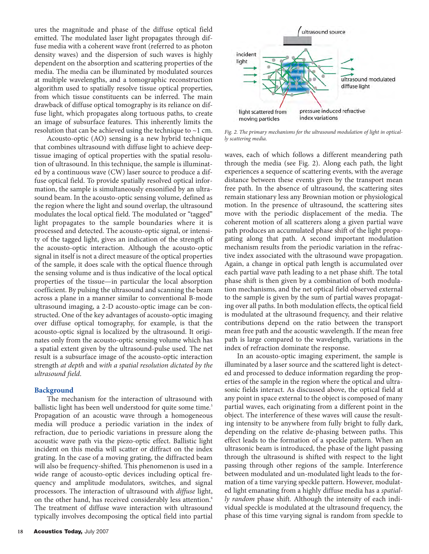ures the magnitude and phase of the diffuse optical field emitted. The modulated laser light propagates through diffuse media with a coherent wave front (referred to as photon density waves) and the dispersion of such waves is highly dependent on the absorption and scattering properties of the media. The media can be illuminated by modulated sources at multiple wavelengths, and a tomographic reconstruction algorithm used to spatially resolve tissue optical properties, from which tissue constituents can be inferred. The main drawback of diffuse optical tomography is its reliance on diffuse light, which propagates along tortuous paths, to create an image of subsurface features. This inherently limits the resolution that can be achieved using the technique to  $\sim$ 1 cm.

Acousto-optic (AO) sensing is a new hybrid technique that combines ultrasound with diffuse light to achieve deeptissue imaging of optical properties with the spatial resolution of ultrasound. In this technique, the sample is illuminated by a continuous wave (CW) laser source to produce a diffuse optical field. To provide spatially resolved optical information, the sample is simultaneously ensonified by an ultrasound beam. In the acousto-optic sensing volume, defined as the region where the light and sound overlap, the ultrasound modulates the local optical field. The modulated or "tagged" light propagates to the sample boundaries where it is processed and detected. The acousto-optic signal, or intensity of the tagged light, gives an indication of the strength of the acousto-optic interaction. Although the acousto-optic signal in itself is not a direct measure of the optical properties of the sample, it does scale with the optical fluence through the sensing volume and is thus indicative of the local optical properties of the tissue—in particular the local absorption coefficient. By pulsing the ultrasound and scanning the beam across a plane in a manner similar to conventional B-mode ultrasound imaging, a 2-D acousto-optic image can be constructed. One of the key advantages of acousto-optic imaging over diffuse optical tomography, for example, is that the acousto-optic signal is localized by the ultrasound. It originates only from the acousto-optic sensing volume which has a spatial extent given by the ultrasound-pulse used. The net result is a subsurface image of the acousto-optic interaction strength *at depth* and *with a spatial resolution dictated by the ultrasound field*.

#### **Background**

The mechanism for the interaction of ultrasound with ballistic light has been well understood for quite some time.<sup>5</sup> Propagation of an acoustic wave through a homogeneous media will produce a periodic variation in the index of refraction, due to periodic variations in pressure along the acoustic wave path via the piezo-optic effect. Ballistic light incident on this media will scatter or diffract on the index grating. In the case of a moving grating, the diffracted beam will also be frequency-shifted. This phenomenon is used in a wide range of acousto-optic devices including optical frequency and amplitude modulators, switches, and signal processors. The interaction of ultrasound with *diffuse* light, on the other hand, has received considerably less attention.<sup>6</sup> The treatment of diffuse wave interaction with ultrasound typically involves decomposing the optical field into partial



*Fig. 2. The primary mechanisms for the ultrasound modulation of light in optically scattering media.*

waves, each of which follows a different meandering path through the media (see Fig. 2). Along each path, the light experiences a sequence of scattering events, with the average distance between these events given by the transport mean free path. In the absence of ultrasound, the scattering sites remain stationary less any Brownian motion or physiological motion. In the presence of ultrasound, the scattering sites move with the periodic displacement of the media. The coherent motion of all scatterers along a given partial wave path produces an accumulated phase shift of the light propagating along that path. A second important modulation mechanism results from the periodic variation in the refractive index associated with the ultrasound wave propagation. Again, a change in optical path length is accumulated over each partial wave path leading to a net phase shift. The total phase shift is then given by a combination of both modulation mechanisms, and the net optical field observed external to the sample is given by the sum of partial waves propagating over all paths. In both modulation effects, the optical field is modulated at the ultrasound frequency, and their relative contributions depend on the ratio between the transport mean free path and the acoustic wavelength. If the mean free path is large compared to the wavelength, variations in the index of refraction dominate the response.

In an acousto-optic imaging experiment, the sample is illuminated by a laser source and the scattered light is detected and processed to deduce information regarding the properties of the sample in the region where the optical and ultrasonic fields interact. As discussed above, the optical field at any point in space external to the object is composed of many partial waves, each originating from a different point in the object. The interference of these waves will cause the resulting intensity to be anywhere from fully bright to fully dark, depending on the relative de-phasing between paths. This effect leads to the formation of a speckle pattern. When an ultrasonic beam is introduced, the phase of the light passing through the ultrasound is shifted with respect to the light passing through other regions of the sample. Interference between modulated and un-modulated light leads to the formation of a time varying speckle pattern. However, modulated light emanating from a highly diffuse media has a *spatially random* phase shift. Although the intensity of each individual speckle is modulated at the ultrasound frequency, the phase of this time varying signal is random from speckle to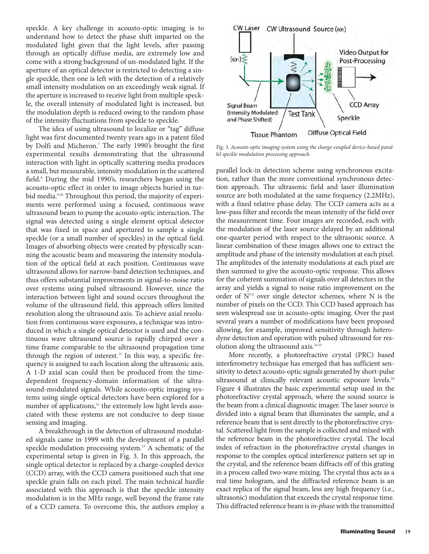speckle. A key challenge in acousto-optic imaging is to understand how to detect the phase shift imparted on the modulated light given that the light levels, after passing through an optically diffuse media, are extremely low and come with a strong background of un-modulated light. If the aperture of an optical detector is restricted to detecting a single speckle, then one is left with the detection of a relatively small intensity modulation on an exceedingly weak signal. If the aperture is increased to receive light from multiple speckle, the overall intensity of modulated light is increased, but the modulation depth is reduced owing to the random phase of the intensity fluctuations from speckle to speckle.

The idea of using ultrasound to localize or "tag" diffuse light was first documented twenty years ago in a patent filed by Dolfi and Micheron.7 The early 1990's brought the first experimental results demonstrating that the ultrasound interaction with light in optically scattering media produces a small, but measurable, intensity modulation in the scattered field.8 During the mid 1990's, researchers began using the acousto-optic effect in order to image objects buried in turbid media.<sup>9,10</sup> Throughout this period, the majority of experiments were performed using a focused, continuous wave ultrasound beam to pump the acousto-optic interaction. The signal was detected using a single element optical detector that was fixed in space and apertured to sample a single speckle (or a small number of speckles) in the optical field. Images of absorbing objects were created by physically scanning the acoustic beam and measuring the intensity modulation of the optical field at each position. Continuous wave ultrasound allows for narrow-band detection techniques, and thus offers substantial improvements in signal-to-noise ratio over systems using pulsed ultrasound. However, since the interaction between light and sound occurs throughout the volume of the ultrasound field, this approach offers limited resolution along the ultrasound axis. To achieve axial resolution from continuous wave exposures, a technique was introduced in which a single optical detector is used and the continuous wave ultrasound source is rapidly chirped over a time frame comparable to the ultrasound propagation time through the region of interest.<sup>11</sup> In this way, a specific frequency is assigned to each location along the ultrasonic axis. A 1-D axial scan could then be produced from the timedependent frequency-domain information of the ultrasound-modulated signals. While acousto-optic imaging systems using single optical detectors have been explored for a number of applications,<sup>12</sup> the extremely low light levels associated with these systems are not conducive to deep tissue sensing and imaging.

A breakthrough in the detection of ultrasound modulated signals came in 1999 with the development of a parallel speckle modulation processing system.<sup>13</sup> A schematic of the experimental setup is given in Fig. 3. In this approach, the single optical detector is replaced by a charge-coupled device (CCD) array, with the CCD camera positioned such that one speckle grain falls on each pixel. The main technical hurdle associated with this approach is that the speckle intensity modulation is in the MHz range, well beyond the frame rate of a CCD camera. To overcome this, the authors employ a



*Fig. 3. Acousto-optic imaging system using the charge-coupled device-based parallel speckle modulation processing approach.* 

parallel lock-in detection scheme using synchronous excitation, rather than the more conventional synchronous detection approach. The ultrasonic field and laser illumination source are both modulated at the same frequency (2.2MHz), with a fixed relative phase delay. The CCD camera acts as a low-pass filter and records the mean intensity of the field over the measurement time. Four images are recorded, each with the modulation of the laser source delayed by an additional one-quarter period with respect to the ultrasonic source. A linear combination of these images allows one to extract the amplitude and phase of the intensity modulation at each pixel. The amplitudes of the intensity modulations at each pixel are then summed to give the acousto-optic response. This allows for the coherent summation of signals over all detectors in the array and yields a signal to noise ratio improvement on the order of N1/2 over single detector schemes, where N is the number of pixels on the CCD. This CCD based approach has seen widespread use in acousto-optic imaging. Over the past several years a number of modifications have been proposed allowing, for example, improved sensitivity through heterodyne detection and operation with pulsed ultrasound for resolution along the ultrasound axis.<sup>14,15</sup>

More recently, a photorefractive crystal (PRC) based interferometry technique has emerged that has sufficient sensitivity to detect acousto-optic signals generated by short-pulse ultrasound at clinically relevant acoustic exposure levels.<sup>16</sup> Figure 4 illustrates the basic experimental setup used in the photorefractive crystal approach, where the sound source is the beam from a clinical diagnostic imager. The laser source is divided into a signal beam that illuminates the sample, and a reference beam that is sent directly to the photorefractive crystal. Scattered light from the sample is collected and mixed with the reference beam in the photorefractive crystal. The local index of refraction in the photorefractive crystal changes in response to the complex optical interference pattern set up in the crystal, and the reference beam diffracts off of this grating in a process called two-wave mixing. The crystal thus acts as a real time hologram, and the diffracted reference beam is an exact replica of the signal beam, less any high frequency (i.e., ultrasonic) modulation that exceeds the crystal response time. This diffracted reference beam is *in-phase* with the transmitted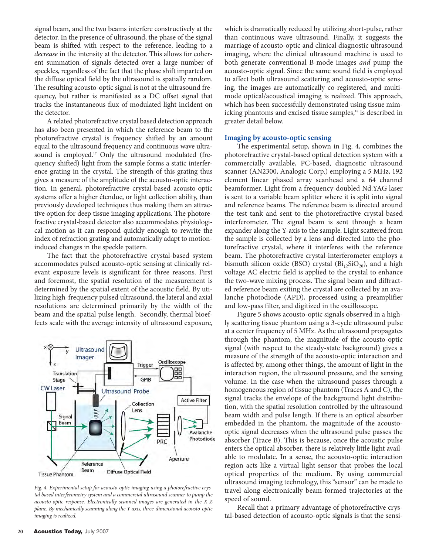signal beam, and the two beams interfere constructively at the detector. In the presence of ultrasound, the phase of the signal beam is shifted with respect to the reference, leading to a *decrease* in the intensity at the detector. This allows for coherent summation of signals detected over a large number of speckles, regardless of the fact that the phase shift imparted on the diffuse optical field by the ultrasound is spatially random. The resulting acousto-optic signal is not at the ultrasound frequency, but rather is manifested as a DC offset signal that tracks the instantaneous flux of modulated light incident on the detector.

A related photorefractive crystal based detection approach has also been presented in which the reference beam to the photorefractive crystal is frequency shifted by an amount equal to the ultrasound frequency and continuous wave ultrasound is employed.<sup>17</sup> Only the ultrasound modulated (frequency shifted) light from the sample forms a static interference grating in the crystal. The strength of this grating thus gives a measure of the amplitude of the acousto-optic interaction. In general, photorefractive crystal-based acousto-optic systems offer a higher étendue, or light collection ability, than previously developed techniques thus making them an attractive option for deep tissue imaging applications. The photorefractive crystal-based detector also accommodates physiological motion as it can respond quickly enough to rewrite the index of refraction grating and automatically adapt to motioninduced changes in the speckle pattern.

The fact that the photorefractive crystal-based system accommodates pulsed acousto-optic sensing at clinically relevant exposure levels is significant for three reasons. First and foremost, the spatial resolution of the measurement is determined by the spatial extent of the acoustic field. By utilizing high-frequency pulsed ultrasound, the lateral and axial resolutions are determined primarily by the width of the beam and the spatial pulse length. Secondly, thermal bioeffects scale with the average intensity of ultrasound exposure,



*Fig. 4. Experimental setup for acousto-optic imaging using a photorefractive crystal based interferometry system and a commercial ultrasound scanner to pump the acousto-optic response. Electronically scanned images are generated in the X-Z plane. By mechanically scanning along the Y axis, three-dimensional acousto-optic imaging is realized.*

which is dramatically reduced by utilizing short-pulse, rather than continuous wave ultrasound. Finally, it suggests the marriage of acousto-optic and clinical diagnostic ultrasound imaging, where the clinical ultrasound machine is used to both generate conventional B-mode images *and* pump the acousto-optic signal. Since the same sound field is employed to affect both ultrasound scattering and acousto-optic sensing, the images are automatically co-registered, and multimode optical/acoustical imaging is realized. This approach, which has been successfully demonstrated using tissue mimicking phantoms and excised tissue samples,<sup>18</sup> is described in greater detail below.

#### **Imaging by acousto-optic sensing**

The experimental setup, shown in Fig. 4, combines the photorefractive crystal-based optical detection system with a commercially available, PC-based, diagnostic ultrasound scanner (AN2300, Analogic Corp.) employing a 5 MHz, 192 element linear phased array scanhead and a 64 channel beamformer. Light from a frequency-doubled Nd:YAG laser is sent to a variable beam splitter where it is split into signal and reference beams. The reference beam is directed around the test tank and sent to the photorefractive crystal-based interferometer. The signal beam is sent through a beam expander along the Y-axis to the sample. Light scattered from the sample is collected by a lens and directed into the photorefractive crystal, where it interferes with the reference beam. The photorefractive crystal-interferometer employs a bismuth silicon oxide (BSO) crystal ( $Bi<sub>12</sub>SiO<sub>20</sub>$ ), and a high voltage AC electric field is applied to the crystal to enhance the two-wave mixing process. The signal beam and diffracted reference beam exiting the crystal are collected by an avalanche photodiode (APD), processed using a preamplifier and low-pass filter, and digitized in the oscilloscope.

Figure 5 shows acousto-optic signals observed in a highly scattering tissue phantom using a 3-cycle ultrasound pulse at a center frequency of 5 MHz. As the ultrasound propagates through the phantom, the magnitude of the acousto-optic signal (with respect to the steady-state background) gives a measure of the strength of the acousto-optic interaction and is affected by, among other things, the amount of light in the interaction region, the ultrasound pressure, and the sensing volume. In the case when the ultrasound passes through a homogeneous region of tissue phantom (Traces A and C), the signal tracks the envelope of the background light distribution, with the spatial resolution controlled by the ultrasound beam width and pulse length. If there is an optical absorber embedded in the phantom, the magnitude of the acoustooptic signal decreases when the ultrasound pulse passes the absorber (Trace B). This is because, once the acoustic pulse enters the optical absorber, there is relatively little light available to modulate. In a sense, the acousto-optic interaction region acts like a virtual light sensor that probes the local optical properties of the medium. By using commercial ultrasound imaging technology, this "sensor" can be made to travel along electronically beam-formed trajectories at the speed of sound.

Recall that a primary advantage of photorefractive crystal-based detection of acousto-optic signals is that the sensi-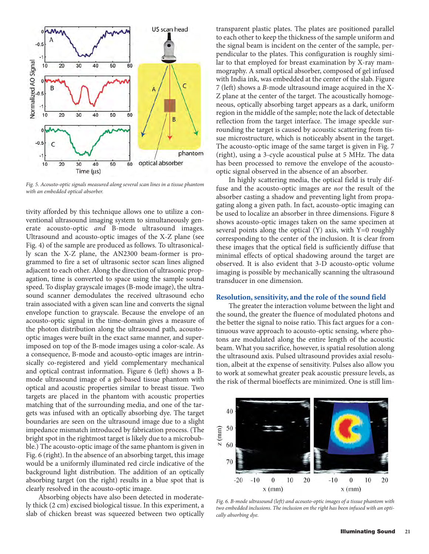

*Fig. 5. Acousto-optic signals measured along several scan lines in a tissue phantom with an embedded optical absorber.*

tivity afforded by this technique allows one to utilize a conventional ultrasound imaging system to simultaneously generate acousto-optic *and* B-mode ultrasound images. Ultrasound and acousto-optic images of the X-Z plane (see Fig. 4) of the sample are produced as follows. To ultrasonically scan the X-Z plane, the AN2300 beam-former is programmed to fire a set of ultrasonic sector scan lines aligned adjacent to each other. Along the direction of ultrasonic propagation, time is converted to space using the sample sound speed. To display grayscale images (B-mode image), the ultrasound scanner demodulates the received ultrasound echo train associated with a given scan line and converts the signal envelope function to grayscale. Because the envelope of an acousto-optic signal in the time-domain gives a measure of the photon distribution along the ultrasound path, acoustooptic images were built in the exact same manner, and superimposed on top of the B-mode images using a color-scale. As a consequence, B-mode and acousto-optic images are intrinsically co-registered and yield complementary mechanical and optical contrast information. Figure 6 (left) shows a Bmode ultrasound image of a gel-based tissue phantom with optical and acoustic properties similar to breast tissue. Two targets are placed in the phantom with acoustic properties matching that of the surrounding media, and one of the targets was infused with an optically absorbing dye. The target boundaries are seen on the ultrasound image due to a slight impedance mismatch introduced by fabrication process. (The bright spot in the rightmost target is likely due to a microbubble.) The acousto-optic image of the same phantom is given in Fig. 6 (right). In the absence of an absorbing target, this image would be a uniformly illuminated red circle indicative of the background light distribution. The addition of an optically absorbing target (on the right) results in a blue spot that is clearly resolved in the acousto-optic image.

Absorbing objects have also been detected in moderately thick (2 cm) excised biological tissue. In this experiment, a slab of chicken breast was squeezed between two optically transparent plastic plates. The plates are positioned parallel to each other to keep the thickness of the sample uniform and the signal beam is incident on the center of the sample, perpendicular to the plates. This configuration is roughly similar to that employed for breast examination by X-ray mammography. A small optical absorber, composed of gel infused with India ink, was embedded at the center of the slab. Figure 7 (left) shows a *B*-mode ultrasound image acquired in the X-Z plane at the center of the target. The acoustically homogeneous, optically absorbing target appears as a dark, uniform region in the middle of the sample; note the lack of detectable reflection from the target interface. The image speckle surrounding the target is caused by acoustic scattering from tissue microstructure, which is noticeably absent in the target. The acousto-optic image of the same target is given in Fig. 7 (right), using a 3-cycle acoustical pulse at 5 MHz. The data has been processed to remove the envelope of the acoustooptic signal observed in the absence of an absorber.

In highly scattering media, the optical field is truly diffuse and the acousto-optic images are *not* the result of the absorber casting a shadow and preventing light from propagating along a given path. In fact, acousto-optic imaging can be used to localize an absorber in three dimensions. Figure 8 shows acousto-optic images taken on the same specimen at several points along the optical  $(Y)$  axis, with  $Y=0$  roughly corresponding to the center of the inclusion. It is clear from these images that the optical field is sufficiently diffuse that minimal effects of optical shadowing around the target are observed. It is also evident that 3-D acousto-optic volume imaging is possible by mechanically scanning the ultrasound transducer in one dimension.

#### **Resolution, sensitivity, and the role of the sound field**

The greater the interaction volume between the light and the sound, the greater the fluence of modulated photons and the better the signal to noise ratio. This fact argues for a continuous wave approach to acousto-optic sensing, where photons are modulated along the entire length of the acoustic beam. What you sacrifice, however, is spatial resolution along the ultrasound axis. Pulsed ultrasound provides axial resolution, albeit at the expense of sensitivity. Pulses also allow you to work at somewhat greater peak acoustic pressure levels, as the risk of thermal bioeffects are minimized. One is still lim-



*Fig. 6. B-mode ultrasound (left) and acousto-optic images of a tissue phantom with two embedded inclusions. The inclusion on the right has been infused with an optically absorbing dye.*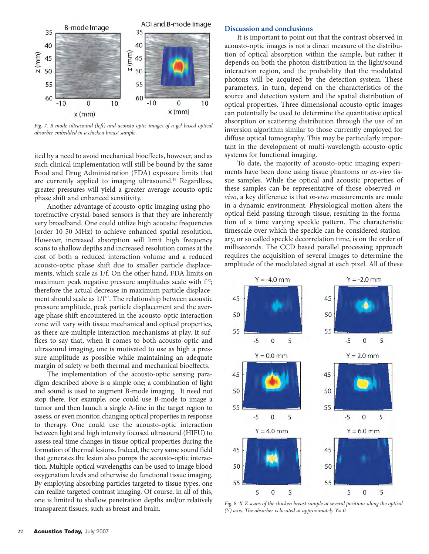

*Fig. 7. B-mode ultrasound (left) and acousto-optic images of a gel based optical absorber embedded in a chicken breast sample.*

ited by a need to avoid mechanical bioeffects, however, and as such clinical implementation will still be bound by the same Food and Drug Administration (FDA) exposure limits that are currently applied to imaging ultrasound.<sup>19</sup> Regardless, greater pressures will yield a greater average acousto-optic phase shift and enhanced sensitivity.

Another advantage of acousto-optic imaging using photorefractive crystal-based sensors is that they are inherently very broadband. One could utilize high acoustic frequencies (order 10-50 MHz) to achieve enhanced spatial resolution. However, increased absorption will limit high frequency scans to shallow depths and increased resolution comes at the cost of both a reduced interaction volume and a reduced acousto-optic phase shift due to smaller particle displacements, which scale as 1/f. On the other hand, FDA limits on maximum peak negative pressure amplitudes scale with  $f^{1/2}$ ; therefore the actual decrease in maximum particle displacement should scale as  $1/f^{1/2}$ . The relationship between acoustic pressure amplitude, peak particle displacement and the average phase shift encountered in the acousto-optic interaction zone will vary with tissue mechanical and optical properties, as there are multiple interaction mechanisms at play. It suffices to say that, when it comes to both acousto-optic and ultrasound imaging, one is motivated to use as high a pressure amplitude as possible while maintaining an adequate margin of safety *re* both thermal and mechanical bioeffects.

The implementation of the acousto-optic sensing paradigm described above is a simple one; a combination of light and sound is used to augment B-mode imaging. It need not stop there. For example, one could use B-mode to image a tumor and then launch a single A-line in the target region to assess, or even monitor, changing optical properties in response to therapy. One could use the acousto-optic interaction between light and high intensity focused ultrasound (HIFU) to assess real time changes in tissue optical properties during the formation of thermal lesions. Indeed, the very same sound field that generates the lesion also pumps the acousto-optic interaction. Multiple optical wavelengths can be used to image blood oxygenation levels and otherwise do functional tissue imaging. By employing absorbing particles targeted to tissue types, one can realize targeted contrast imaging. Of course, in all of this, one is limited to shallow penetration depths and/or relatively transparent tissues, such as breast and brain.

#### **Discussion and conclusions**

It is important to point out that the contrast observed in acousto-optic images is not a direct measure of the distribution of optical absorption within the sample, but rather it depends on both the photon distribution in the light/sound interaction region, and the probability that the modulated photons will be acquired by the detection system. These parameters, in turn, depend on the characteristics of the source and detection system and the spatial distribution of optical properties. Three-dimensional acousto-optic images can potentially be used to determine the quantitative optical absorption or scattering distribution through the use of an inversion algorithm similar to those currently employed for diffuse optical tomography. This may be particularly important in the development of multi-wavelength acousto-optic systems for functional imaging.

To date, the majority of acousto-optic imaging experiments have been done using tissue phantoms or *ex-vivo* tissue samples. While the optical and acoustic properties of these samples can be representative of those observed *invivo*, a key difference is that *in-vivo* measurements are made in a dynamic environment. Physiological motion alters the optical field passing through tissue, resulting in the formation of a time varying speckle pattern. The characteristic timescale over which the speckle can be considered stationary, or so called speckle decorrelation time, is on the order of milliseconds. The CCD based parallel processing approach requires the acquisition of several images to determine the amplitude of the modulated signal at each pixel. All of these



*Fig. 8. X-Z scans of the chicken breast sample at several positions along the optical (Y) axis. The absorber is located at approximately Y= 0.*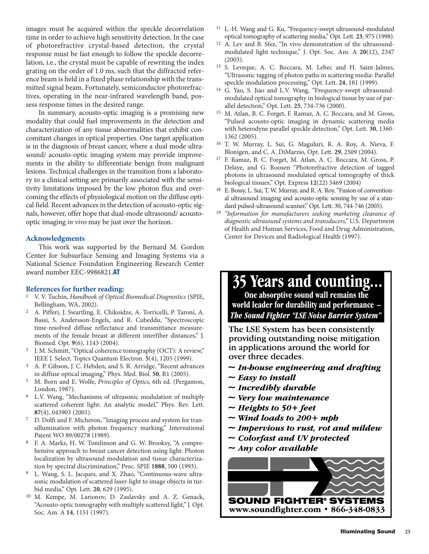images must be acquired within the speckle decorrelation time in order to achieve high sensitivity detection. In the case of photorefractive crystal-based detection, the crystal response must be fast enough to follow the speckle decorrelation, i.e., the crystal must be capable of rewriting the index grating on the order of 1.0 ms, such that the diffracted reference beam is held in a fixed phase relationship with the transmitted signal beam. Fortunately, semiconductor photorefractives, operating in the near-infrared wavelength band, possess response times in the desired range.

In summary, acousto-optic imaging is a promising new modality that could fuel improvements in the detection and characterization of any tissue abnormalities that exhibit concomitant changes in optical properties. One target application is in the diagnosis of breast cancer, where a dual mode ultrasound/ acousto-optic imaging system may provide improvements in the ability to differentiate benign from malignant lesions. Technical challenges in the transition from a laboratory to a clinical setting are primarily associated with the sensitivity limitations imposed by the low photon flux and overcoming the effects of physiological motion on the diffuse optical field. Recent advances in the detection of acousto-optic signals, however, offer hope that dual-mode ultrasound/ acoustooptic imaging *in vivo* may be just over the horizon.

#### **Acknowledgments**

This work was supported by the Bernard M. Gordon Center for Subsurface Sensing and Imaging Systems via a National Science Foundation Engineering Research Center award number EEC-9986821.**AT**

#### **References for further reading:**

- 1 V. V. Tuchin, *Handbook of Optical Biomedical Diagnostics* (SPIE, Bellingham, WA, 2002).
- 2 A. Pifferi, J. Swartling, E. Chikoidze, A. Torricelli, P. Taroni, A. Bassi, S. Andersson-Engels, and R. Cubeddu, "Spectroscopic time-resolved diffuse reflectance and transmittance measurements of the female breast at different interfiber distances," J. Biomed. Opt. **9**(6), 1143 (2004).
- 3 J. M. Schmitt, "Optical coherence tomography (OCT): A review," IEEE J. Select. Topics Quantum Electron. **5**(4), 1205 (1999).
- 4 A. P. Gibson, J. C. Hebden, and S. R. Arridge, "Recent advances in diffuse optical imaging," Phys. Med. Biol. **50**, R1 (2005).
- 5 M. Born and E. Wolfe, *Principles of Optics*, 6th ed. (Pergamon, London, 1987).
- 6 L.V. Wang, "Mechanisms of ultrasonic modulation of multiply scattered coherent light: An analytic model," Phys. Rev. Lett. **87**(4), 043903 (2001).
- 7 D. Dolfi and F. Micheron, "Imaging process and system for transillumination with photon frequency marking," International Patent WO 89/00278 (1989).
- 8 F. A. Marks, H. W. Tomlinson and G. W. Brooksy, "A comprehensive approach to breast cancer detection using light: Photon localization by ultrasound modulation and tissue characterization by spectral discrimination," Proc. SPIE **1888**, 500 (1993).
- 9 L. Wang, S. L. Jacques, and X. Zhao, "Continuous-wave ultrasonic modulation of scattered laser-light to image objects in turbid media," Opt. Lett. **20**, 629 (1995).
- 10 M. Kempe, M. Larionov, D. Zaslavsky and A. Z. Genack, "Acousto-optic tomography with multiply scattered light," J. Opt. Soc. Am. A **14**, 1151 (1997).
- 11 L.-H. Wang and G. Ku, "Frequency-swept ultrasound-modulated optical tomography of scattering media," Opt. Lett. **23**, 975 (1998).
- A. Lev and B. Sfez, "In vivo demonstration of the ultrasoundmodulated light technique," J. Opt. Soc. Am. A **20**(12), 2347 (2003).
- 13 S. Leveque, A. C. Boccara, M. Lebec and H. Saint-Jalmes, "Ultrasonic tagging of photon paths in scattering media: Parallel speckle modulation processing," Opt. Lett. **24**, 181 (1999).
- 14 G. Yao, S. Jiao and L.V. Wang, "Frequency-swept ultrasoundmodulated optical tomography in biological tissue by use of parallel detection," Opt. Lett. **25**, 734-736 (2000).
- 15 M. Atlan, B. C. Forget, F. Ramaz, A. C. Boccara, and M. Gross, "Pulsed acousto-optic imaging in dynamic scattering media with heterodyne parallel speckle detection," Opt. Lett. **30**, 1360- 1362 (2005).
- 16 T. W. Murray, L. Sui, G. Maguluri, R. A. Roy, A. Nieva, F. Blonigen, and C. A. DiMarzio, Opt. Lett. **29**, 2509 (2004).
- 17 F. Ramaz, B. C. Forget, M. Atlan, A. C. Boccara, M. Gross, P. Delaye, and G. Roosen "Photorefractive detection of tagged photons in ultrasound modulated optical tomography of thick biological tissues," Opt. Express **12**(22) 5469 (2004)
- E. Bossy, L. Sui, T. W. Murray, and R. A. Roy, "Fusion of conventional ultrasound imaging and acousto-optic sensing by use of a standard pulsed-ultrasound scanner," Opt. Lett. 30, 744-746 (2005).
- 19 *"Information for manufacturers seeking marketing clearance of diagnostic ultrasound systems and transducers,"* U.S. Department of Health and Human Services, Food and Drug Administration, Center for Devices and Radiological Health (1997).

# 35 Years and counting...

One absorptive sound wall remains the world leader for durability and performance **The Sound Fighter "LSE Noise Barrier System"** 

The LSE System has been consistently providing outstanding noise mitigation in applications around the world for over three decades.

- $\sim$  In-bouse engineering and drafting
- $\sim$  Easy to install
- $\sim$  Incredibly durable
- $\sim$  Very low maintenance
- ~ Heights to  $50 + feet$
- $\sim$  Wind loads to 200+ mpb
- $\sim$  Impervious to rust, rot and mildew
- $\sim$  Colorfast and UV protected
- $\sim$  Any color available